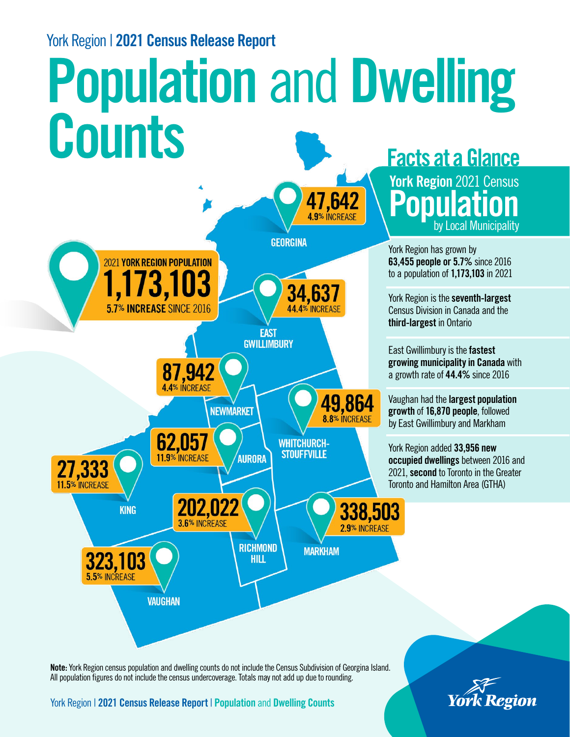## York Region | 2021 Census Release Report

## Population and Dwelling Counts General Counts



P York Region 2021 Census opulat by Local Mu ion nicipality

York Region has grown by 63,455 people or 5.7% since 2016 to a population of 1,173,103 in 2021

York Region is the seventh-largest Census Division in Canada and the third-largest in Ontario

East Gwillimbury is the fastest growing municipality in Canada with a growth rate of 44.4% since 2016

Vaughan had the largest population growth of 16,870 people, followed by East Gwillimbury and Markham

York Region added 33,956 new occupied dwellings between 2016 and 2021, second to Toronto in the Greater Toronto and Hamilton Area (GTHA)

Note: York Region census population and dwelling counts do not include the Census Subdivision of Georgina Island. All population figures do not include the census undercoverage. Totals may not add up due to rounding.

York Region | 2021 Census Release Report | Population and Dwelling Counts